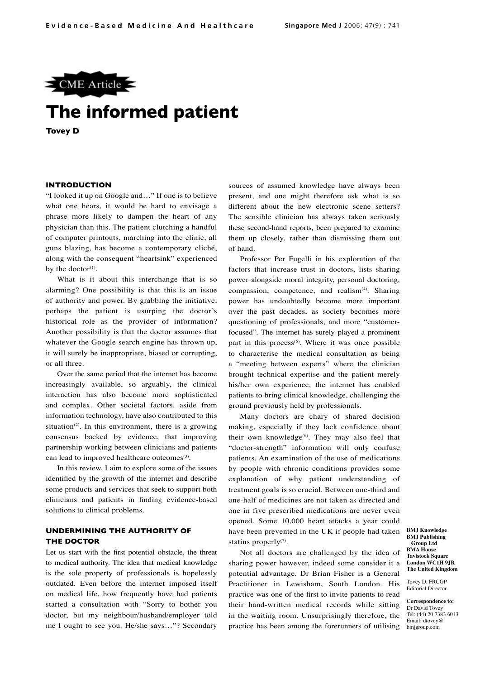

# **The informed patient**

**Tovey D**

#### **INTRODUCTION**

"I looked it up on Google and…" If one is to believe what one hears, it would be hard to envisage a phrase more likely to dampen the heart of any physician than this. The patient clutching a handful of computer printouts, marching into the clinic, all guns blazing, has become a contemporary cliché, along with the consequent "heartsink" experienced by the doctor $(1)$ .

What is it about this interchange that is so alarming? One possibility is that this is an issue of authority and power. By grabbing the initiative, perhaps the patient is usurping the doctor's historical role as the provider of information? Another possibility is that the doctor assumes that whatever the Google search engine has thrown up, it will surely be inappropriate, biased or corrupting, or all three.

Over the same period that the internet has become increasingly available, so arguably, the clinical interaction has also become more sophisticated and complex. Other societal factors, aside from information technology, have also contributed to this situation<sup> $(2)$ </sup>. In this environment, there is a growing consensus backed by evidence, that improving partnership working between clinicians and patients can lead to improved healthcare outcomes<sup>(3)</sup>.

In this review, I aim to explore some of the issues identified by the growth of the internet and describe some products and services that seek to support both clinicians and patients in finding evidence-based solutions to clinical problems.

# **UNDERMINING THE AUTHORITY OF THE DOCTOR**

Let us start with the first potential obstacle, the threat to medical authority. The idea that medical knowledge is the sole property of professionals is hopelessly outdated. Even before the internet imposed itself on medical life, how frequently have had patients started a consultation with "Sorry to bother you doctor, but my neighbour/husband/employer told me I ought to see you. He/she says…"? Secondary

sources of assumed knowledge have always been present, and one might therefore ask what is so different about the new electronic scene setters? The sensible clinician has always taken seriously these second-hand reports, been prepared to examine them up closely, rather than dismissing them out of hand.

Professor Per Fugelli in his exploration of the factors that increase trust in doctors, lists sharing power alongside moral integrity, personal doctoring, compassion, competence, and realism<sup>(4)</sup>. Sharing power has undoubtedly become more important over the past decades, as society becomes more questioning of professionals, and more "customerfocused". The internet has surely played a prominent part in this process<sup>(5)</sup>. Where it was once possible to characterise the medical consultation as being a "meeting between experts" where the clinician brought technical expertise and the patient merely his/her own experience, the internet has enabled patients to bring clinical knowledge, challenging the ground previously held by professionals.

Many doctors are chary of shared decision making, especially if they lack confidence about their own knowledge $^{(6)}$ . They may also feel that "doctor-strength" information will only confuse patients. An examination of the use of medications by people with chronic conditions provides some explanation of why patient understanding of treatment goals is so crucial. Between one-third and one-half of medicines are not taken as directed and one in five prescribed medications are never even opened. Some 10,000 heart attacks a year could have been prevented in the UK if people had taken statins properly $(7)$ .

Not all doctors are challenged by the idea of sharing power however, indeed some consider it a potential advantage. Dr Brian Fisher is a General Practitioner in Lewisham, South London. His practice was one of the first to invite patients to read their hand-written medical records while sitting in the waiting room. Unsurprisingly therefore, the practice has been among the forerunners of utilising **BMJ Knowledge BMJ Publishing Group Ltd BMA House Tavistock Square London WC1H 9JR The United Kingdom**

Tovey D, FRCGP Editorial Director

**Correspondence to:** Dr David Tovey Tel: (44) 20 7383 6043 Email: dtovey@ bmjgroup.com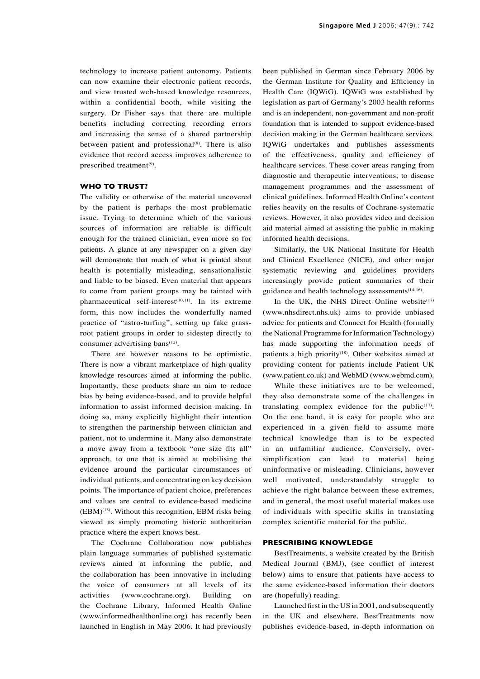technology to increase patient autonomy. Patients can now examine their electronic patient records, and view trusted web-based knowledge resources, within a confidential booth, while visiting the surgery. Dr Fisher says that there are multiple benefits including correcting recording errors and increasing the sense of a shared partnership between patient and professional<sup>(8)</sup>. There is also evidence that record access improves adherence to prescribed treatment<sup>(9)</sup>.

## **WHO TO TRUST?**

The validity or otherwise of the material uncovered by the patient is perhaps the most problematic issue. Trying to determine which of the various sources of information are reliable is difficult enough for the trained clinician, even more so for patients. A glance at any newspaper on a given day will demonstrate that much of what is printed about health is potentially misleading, sensationalistic and liable to be biased. Even material that appears to come from patient groups may be tainted with pharmaceutical self-interest<sup>(10,11)</sup>. In its extreme form, this now includes the wonderfully named practice of "astro-turfing", setting up fake grassroot patient groups in order to sidestep directly to consumer advertising bans<sup>(12)</sup>.

There are however reasons to be optimistic. There is now a vibrant marketplace of high-quality knowledge resources aimed at informing the public. Importantly, these products share an aim to reduce bias by being evidence-based, and to provide helpful information to assist informed decision making. In doing so, many explicitly highlight their intention to strengthen the partnership between clinician and patient, not to undermine it. Many also demonstrate a move away from a textbook "one size fits all" approach, to one that is aimed at mobilising the evidence around the particular circumstances of individual patients, and concentrating on key decision points. The importance of patient choice, preferences and values are central to evidence-based medicine  $(EBM)^{(13)}$ . Without this recognition, EBM risks being viewed as simply promoting historic authoritarian practice where the expert knows best.

The Cochrane Collaboration now publishes plain language summaries of published systematic reviews aimed at informing the public, and the collaboration has been innovative in including the voice of consumers at all levels of its activities (www.cochrane.org). Building on the Cochrane Library, Informed Health Online (www.informedhealthonline.org) has recently been launched in English in May 2006. It had previously

been published in German since February 2006 by the German Institute for Quality and Efficiency in Health Care (IQWiG). IQWiG was established by legislation as part of Germany's 2003 health reforms and is an independent, non-government and non-profit foundation that is intended to support evidence-based decision making in the German healthcare services. IQWiG undertakes and publishes assessments of the effectiveness, quality and efficiency of healthcare services. These cover areas ranging from diagnostic and therapeutic interventions, to disease management programmes and the assessment of clinical guidelines. Informed Health Online's content relies heavily on the results of Cochrane systematic reviews. However, it also provides video and decision aid material aimed at assisting the public in making informed health decisions.

Similarly, the UK National Institute for Health and Clinical Excellence (NICE), and other major systematic reviewing and guidelines providers increasingly provide patient summaries of their guidance and health technology assessments(14-16).

In the UK, the NHS Direct Online website $(17)$ (www.nhsdirect.nhs.uk) aims to provide unbiased advice for patients and Connect for Health (formally the National Programme for Information Technology) has made supporting the information needs of patients a high priority<sup>(18)</sup>. Other websites aimed at providing content for patients include Patient UK (www.patient.co.uk) and WebMD (www.webmd.com).

While these initiatives are to be welcomed, they also demonstrate some of the challenges in translating complex evidence for the public $(17)$ . On the one hand, it is easy for people who are experienced in a given field to assume more technical knowledge than is to be expected in an unfamiliar audience. Conversely, oversimplification can lead to material being uninformative or misleading. Clinicians, however well motivated, understandably struggle to achieve the right balance between these extremes, and in general, the most useful material makes use of individuals with specific skills in translating complex scientific material for the public.

### **PRESCRIBING KNOWLEDGE**

BestTreatments, a website created by the British Medical Journal (BMJ), (see conflict of interest below) aims to ensure that patients have access to the same evidence-based information their doctors are (hopefully) reading.

Launched first in the US in 2001, and subsequently in the UK and elsewhere, BestTreatments now publishes evidence-based, in-depth information on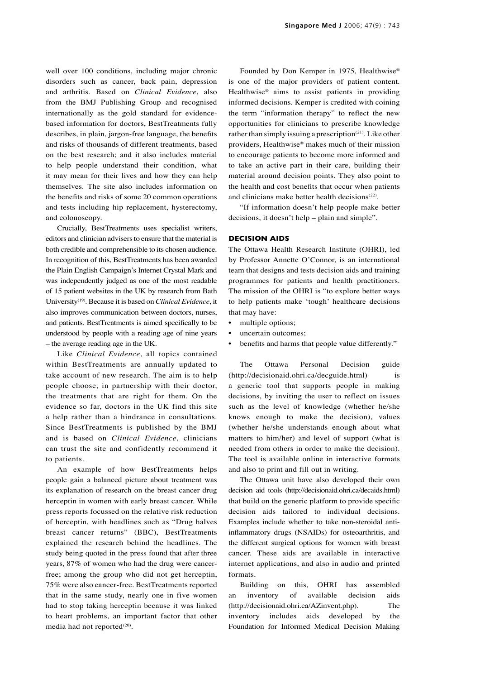well over 100 conditions, including major chronic disorders such as cancer, back pain, depression and arthritis. Based on *Clinical Evidence*, also from the BMJ Publishing Group and recognised internationally as the gold standard for evidencebased information for doctors, BestTreatments fully describes, in plain, jargon-free language, the benefits and risks of thousands of different treatments, based on the best research; and it also includes material to help people understand their condition, what it may mean for their lives and how they can help themselves. The site also includes information on the benefits and risks of some 20 common operations and tests including hip replacement, hysterectomy, and colonoscopy.

Crucially, BestTreatments uses specialist writers, editors and clinician advisers to ensure that the material is both credible and comprehensible to its chosen audience. In recognition of this, BestTreatments has been awarded the Plain English Campaign's Internet Crystal Mark and was independently judged as one of the most readable of 15 patient websites in the UK by research from Bath University(19). Because it is based on *Clinical Evidence*, it also improves communication between doctors, nurses, and patients. BestTreatments is aimed specifically to be understood by people with a reading age of nine years – the average reading age in the UK.

Like *Clinical Evidence*, all topics contained within BestTreatments are annually updated to take account of new research. The aim is to help people choose, in partnership with their doctor, the treatments that are right for them. On the evidence so far, doctors in the UK find this site a help rather than a hindrance in consultations. Since BestTreatments is published by the BMJ and is based on *Clinical Evidence*, clinicians can trust the site and confidently recommend it to patients.

An example of how BestTreatments helps people gain a balanced picture about treatment was its explanation of research on the breast cancer drug herceptin in women with early breast cancer. While press reports focussed on the relative risk reduction of herceptin, with headlines such as "Drug halves breast cancer returns" (BBC), BestTreatments explained the research behind the headlines. The study being quoted in the press found that after three years, 87% of women who had the drug were cancerfree; among the group who did not get herceptin, 75% were also cancer-free. BestTreatments reported that in the same study, nearly one in five women had to stop taking herceptin because it was linked to heart problems, an important factor that other media had not reported $(20)$ .

Founded by Don Kemper in 1975, Healthwise® is one of the major providers of patient content. Healthwise® aims to assist patients in providing informed decisions. Kemper is credited with coining the term "information therapy" to reflect the new opportunities for clinicians to prescribe knowledge rather than simply issuing a prescription $(21)$ . Like other providers, Healthwise® makes much of their mission to encourage patients to become more informed and to take an active part in their care, building their material around decision points. They also point to the health and cost benefits that occur when patients and clinicians make better health decisions<sup>(22)</sup>.

"If information doesn't help people make better decisions, it doesn't help – plain and simple".

#### **DECISION AIDS**

The Ottawa Health Research Institute (OHRI), led by Professor Annette O'Connor, is an international team that designs and tests decision aids and training programmes for patients and health practitioners. The mission of the OHRI is "to explore better ways to help patients make 'tough' healthcare decisions that may have:

- multiple options;
- uncertain outcomes;
- benefits and harms that people value differently."

The Ottawa Personal Decision guide (http://decisionaid.ohri.ca/decguide.html) is a generic tool that supports people in making decisions, by inviting the user to reflect on issues such as the level of knowledge (whether he/she knows enough to make the decision), values (whether he/she understands enough about what matters to him/her) and level of support (what is needed from others in order to make the decision). The tool is available online in interactive formats and also to print and fill out in writing.

The Ottawa unit have also developed their own decision aid tools (http://decisionaid.ohri.ca/decaids.html) that build on the generic platform to provide specific decision aids tailored to individual decisions. Examples include whether to take non-steroidal antiinflammatory drugs (NSAIDs) for osteoarthritis, and the different surgical options for women with breast cancer. These aids are available in interactive internet applications, and also in audio and printed formats.

Building on this, OHRI has assembled an inventory of available decision aids (http://decisionaid.ohri.ca/AZinvent.php). The inventory includes aids developed by the Foundation for Informed Medical Decision Making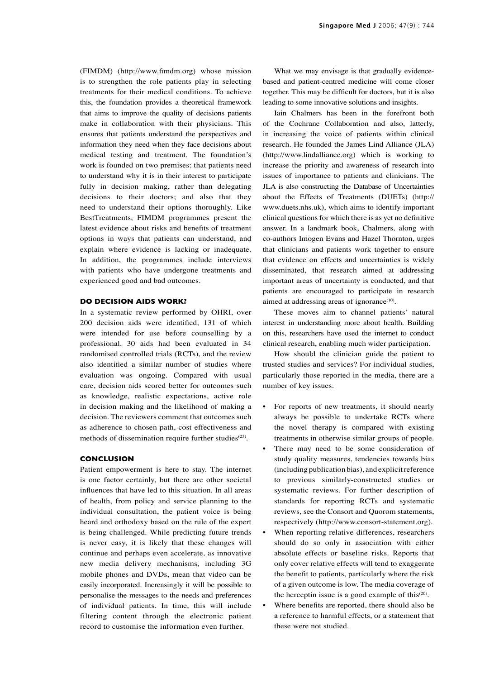(FIMDM) (http://www.fimdm.org) whose mission is to strengthen the role patients play in selecting treatments for their medical conditions. To achieve this, the foundation provides a theoretical framework that aims to improve the quality of decisions patients make in collaboration with their physicians. This ensures that patients understand the perspectives and information they need when they face decisions about medical testing and treatment. The foundation's work is founded on two premises: that patients need to understand why it is in their interest to participate fully in decision making, rather than delegating decisions to their doctors; and also that they need to understand their options thoroughly. Like BestTreatments, FIMDM programmes present the latest evidence about risks and benefits of treatment options in ways that patients can understand, and explain where evidence is lacking or inadequate. In addition, the programmes include interviews with patients who have undergone treatments and experienced good and bad outcomes.

#### **DO DECISION AIDS WORK?**

In a systematic review performed by OHRI, over 200 decision aids were identified, 131 of which were intended for use before counselling by a professional. 30 aids had been evaluated in 34 randomised controlled trials (RCTs), and the review also identified a similar number of studies where evaluation was ongoing. Compared with usual care, decision aids scored better for outcomes such as knowledge, realistic expectations, active role in decision making and the likelihood of making a decision. The reviewers comment that outcomes such as adherence to chosen path, cost effectiveness and methods of dissemination require further studies<sup>(23)</sup>.

#### **CONCLUSION**

Patient empowerment is here to stay. The internet is one factor certainly, but there are other societal influences that have led to this situation. In all areas of health, from policy and service planning to the individual consultation, the patient voice is being heard and orthodoxy based on the rule of the expert is being challenged. While predicting future trends is never easy, it is likely that these changes will continue and perhaps even accelerate, as innovative new media delivery mechanisms, including 3G mobile phones and DVDs, mean that video can be easily incorporated. Increasingly it will be possible to personalise the messages to the needs and preferences of individual patients. In time, this will include filtering content through the electronic patient record to customise the information even further.

What we may envisage is that gradually evidencebased and patient-centred medicine will come closer together. This may be difficult for doctors, but it is also leading to some innovative solutions and insights.

Iain Chalmers has been in the forefront both of the Cochrane Collaboration and also, latterly, in increasing the voice of patients within clinical research. He founded the James Lind Alliance (JLA) (http://www.lindalliance.org) which is working to increase the priority and awareness of research into issues of importance to patients and clinicians. The JLA is also constructing the Database of Uncertainties about the Effects of Treatments (DUETs) (http:// www.duets.nhs.uk), which aims to identify important clinical questions for which there is as yet no definitive answer. In a landmark book, Chalmers, along with co-authors Imogen Evans and Hazel Thornton, urges that clinicians and patients work together to ensure that evidence on effects and uncertainties is widely disseminated, that research aimed at addressing important areas of uncertainty is conducted, and that patients are encouraged to participate in research aimed at addressing areas of ignorance<sup>(10)</sup>.

These moves aim to channel patients' natural interest in understanding more about health. Building on this, researchers have used the internet to conduct clinical research, enabling much wider participation.

How should the clinician guide the patient to trusted studies and services? For individual studies, particularly those reported in the media, there are a number of key issues.

- For reports of new treatments, it should nearly always be possible to undertake RCTs where the novel therapy is compared with existing treatments in otherwise similar groups of people.
- There may need to be some consideration of study quality measures, tendencies towards bias (including publication bias), and explicit reference to previous similarly-constructed studies or systematic reviews. For further description of standards for reporting RCTs and systematic reviews, see the Consort and Quorom statements, respectively (http://www.consort-statement.org).
- When reporting relative differences, researchers should do so only in association with either absolute effects or baseline risks. Reports that only cover relative effects will tend to exaggerate the benefit to patients, particularly where the risk of a given outcome is low. The media coverage of the herceptin issue is a good example of this $(20)$ .
- Where benefits are reported, there should also be a reference to harmful effects, or a statement that these were not studied.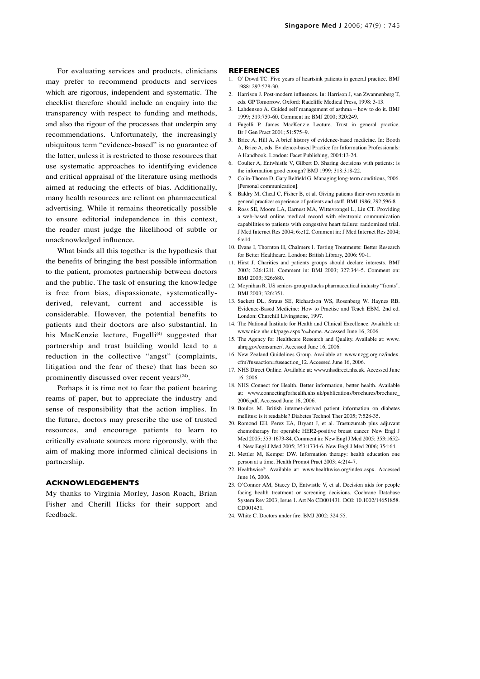For evaluating services and products, clinicians may prefer to recommend products and services which are rigorous, independent and systematic. The checklist therefore should include an enquiry into the transparency with respect to funding and methods, and also the rigour of the processes that underpin any recommendations. Unfortunately, the increasingly ubiquitous term "evidence-based" is no guarantee of the latter, unless it is restricted to those resources that use systematic approaches to identifying evidence and critical appraisal of the literature using methods aimed at reducing the effects of bias. Additionally, many health resources are reliant on pharmaceutical advertising. While it remains theoretically possible to ensure editorial independence in this context, the reader must judge the likelihood of subtle or unacknowledged influence.

What binds all this together is the hypothesis that the benefits of bringing the best possible information to the patient, promotes partnership between doctors and the public. The task of ensuring the knowledge is free from bias, dispassionate, systematicallyderived, relevant, current and accessible is considerable. However, the potential benefits to patients and their doctors are also substantial. In his MacKenzie lecture, Fugelli<sup>(4)</sup> suggested that partnership and trust building would lead to a reduction in the collective "angst" (complaints, litigation and the fear of these) that has been so prominently discussed over recent years<sup>(24)</sup>.

Perhaps it is time not to fear the patient bearing reams of paper, but to appreciate the industry and sense of responsibility that the action implies. In the future, doctors may prescribe the use of trusted resources, and encourage patients to learn to critically evaluate sources more rigorously, with the aim of making more informed clinical decisions in partnership.

# **ACKNOWLEDGEMENTS**

My thanks to Virginia Morley, Jason Roach, Brian Fisher and Cherill Hicks for their support and feedback.

- 1. O' Dowd TC. Five years of heartsink patients in general practice. BMJ 1988; 297:528-30.
- 2. Harrison J. Post-modern influences. In: Harrison J, van Zwannenberg T, eds. GP Tomorrow. Oxford: Radcliffe Medical Press, 1998: 3-13.
- 3. Lahdensuo A. Guided self management of asthma how to do it. BMJ 1999; 319:759-60. Comment in: BMJ 2000; 320:249.
- Fugelli P. James MacKenzie Lecture. Trust in general practice. Br J Gen Pract 2001; 51:575–9.
- 5. Brice A, Hill A. A brief history of evidence-based medicine. In: Booth A, Brice A, eds. Evidence-based Practice for Information Professionals: A Handbook. London: Facet Publishing, 2004:13-24.
- 6. Coulter A, Entwhistle V, Gilbert D. Sharing decisions with patients: is the information good enough? BMJ 1999; 318:318-22.
- 7. Colin-Thome D, Gary Belfield G. Managing long-term conditions, 2006. [Personal communication].
- 8. Baldry M, Cheal C, Fisher B, et al. Giving patients their own records in general practice: experience of patients and staff. BMJ 1986; 292;596-8.
- 9. Ross SE, Moore LA, Earnest MA, Wittevrongel L, Lin CT. Providing a web-based online medical record with electronic communication capabilities to patients with congestive heart failure: randomized trial. J Med Internet Res 2004; 6:e12. Comment in: J Med Internet Res 2004; 6:e14.
- 10. Evans I, Thornton H, Chalmers I. Testing Treatments: Better Research for Better Healthcare. London: British Library, 2006: 90-1.
- 11. Hirst J. Charities and patients groups should declare interests. BMJ 2003; 326:1211. Comment in: BMJ 2003; 327:344-5. Comment on: BMJ 2003; 326:680.
- 12. Moynihan R. US seniors group attacks pharmaceutical industry "fronts". BMJ 2003; 326:351.
- 13. Sackett DL, Straus SE, Richardson WS, Rosenberg W, Haynes RB. Evidence-Based Medicine: How to Practise and Teach EBM. 2nd ed. London: Churchill Livingstone, 1997.
- 14. The National Institute for Health and Clinical Excellence. Available at: www.nice.nhs.uk/page.aspx?o=home. Accessed June 16, 2006.
- 15. The Agency for Healthcare Research and Quality. Available at: www. ahrq.gov/consumer/. Accessed June 16, 2006.
- 16. New Zealand Guidelines Group. Available at: www.nzgg.org.nz/index. cfm?fuseaction=fuseaction\_12. Accessed June 16, 2006.
- 17. NHS Direct Online. Available at: www.nhsdirect.nhs.uk. Accessed June 16, 2006.
- 18. NHS Connect for Health. Better information, better health. Available at: www.connectingforhealth.nhs.uk/publications/brochures/brochure\_ 2006.pdf. Accessed June 16, 2006.
- 19. Boulos M. British internet-derived patient information on diabetes mellitus: is it readable? Diabetes Technol Ther 2005; 7:528-35.
- 20. Romond EH, Perez EA, Bryant J, et al. Trastuzumab plus adjuvant chemotherapy for operable HER2-positive breast cancer. New Engl J Med 2005; 353:1673-84. Comment in: New Engl J Med 2005; 353:1652- 4. New Engl J Med 2005; 353:1734-6. New Engl J Med 2006; 354:64.
- 21. Mettler M, Kemper DW. Information therapy: health education one person at a time. Health Promot Pract 2003; 4:214-7.
- 22. Healthwise®. Available at: www.healthwise.org/index.aspx. Accessed June 16, 2006.
- 23. O'Connor AM, Stacey D, Entwistle V, et al. Decision aids for people facing health treatment or screening decisions. Cochrane Database System Rev 2003; Issue 1. Art No CD001431. DOI: 10.1002/14651858. CD001431.
- 24. White C. Doctors under fire. BMJ 2002; 324:55.